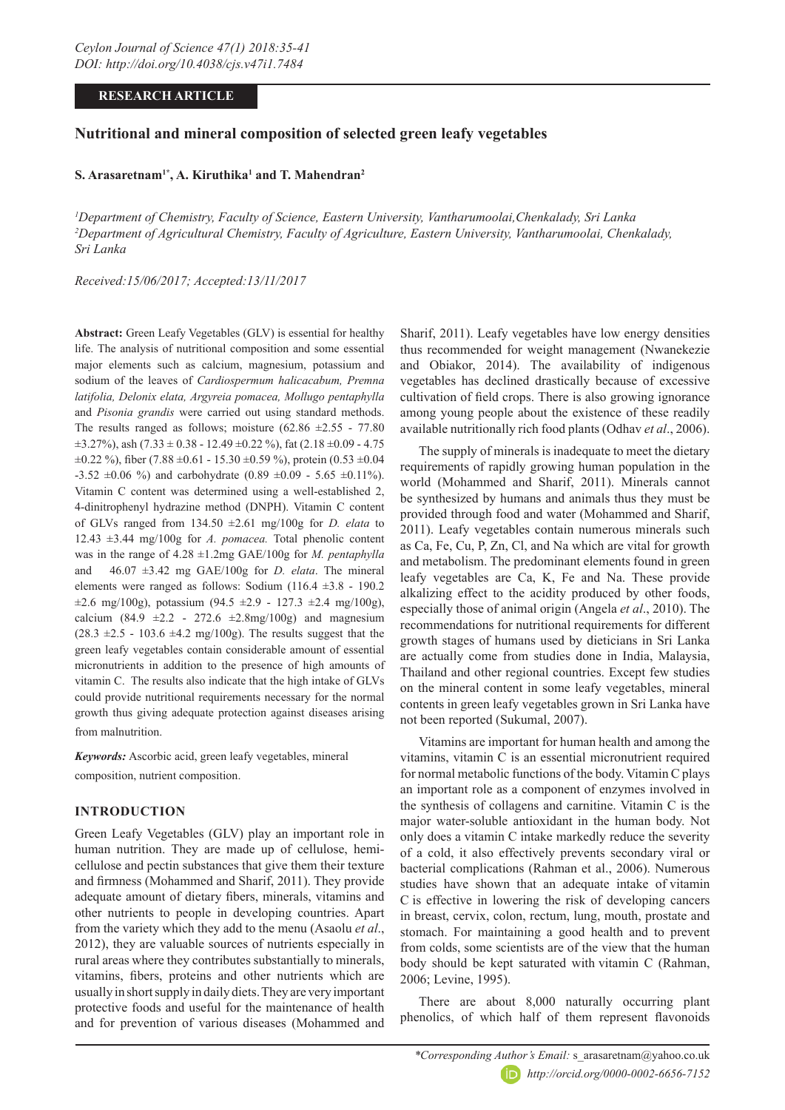# **RESEARCH ARTICLE**

# **Nutritional and mineral composition of selected green leafy vegetables**

# $\mathbf S$ . Arasaretnam<sup>1\*</sup>, A. Kiruthika<sup>1</sup> and T. Mahendran<sup>2</sup>

*1 Department of Chemistry, Faculty of Science, Eastern University, Vantharumoolai,Chenkalady, Sri Lanka 2 Department of Agricultural Chemistry, Faculty of Agriculture, Eastern University, Vantharumoolai, Chenkalady, Sri Lanka*

*Received:15/06/2017; Accepted:13/11/2017*

**Abstract:** Green Leafy Vegetables (GLV) is essential for healthy life. The analysis of nutritional composition and some essential major elements such as calcium, magnesium, potassium and sodium of the leaves of *Cardiospermum halicacabum, Premna latifolia, Delonix elata, Argyreia pomacea, Mollugo pentaphylla* and *Pisonia grandis* were carried out using standard methods. The results ranged as follows; moisture  $(62.86 \pm 2.55 - 77.80)$  $\pm$ 3.27%), ash (7.33  $\pm$  0.38 - 12.49  $\pm$ 0.22 %), fat (2.18  $\pm$ 0.09 - 4.75  $\pm 0.22$  %), fiber (7.88  $\pm 0.61$  - 15.30  $\pm 0.59$  %), protein (0.53  $\pm 0.04$  $-3.52 \pm 0.06$  %) and carbohydrate (0.89  $\pm 0.09$  - 5.65  $\pm 0.11$ %). Vitamin C content was determined using a well-established 2, 4-dinitrophenyl hydrazine method (DNPH). Vitamin C content of GLVs ranged from 134.50 ±2.61 mg/100g for *D. elata* to 12.43 ±3.44 mg/100g for *A. pomacea.* Total phenolic content was in the range of 4.28 ±1.2mg GAE/100g for *M. pentaphylla* and 46.07 ±3.42 mg GAE/100g for *D. elata*. The mineral elements were ranged as follows: Sodium (116.4 ±3.8 - 190.2  $\pm 2.6$  mg/100g), potassium (94.5  $\pm 2.9$  - 127.3  $\pm 2.4$  mg/100g), calcium (84.9  $\pm 2.2$  - 272.6  $\pm 2.8$ mg/100g) and magnesium  $(28.3 \pm 2.5 - 103.6 \pm 4.2 \text{ mg}/100 \text{g})$ . The results suggest that the green leafy vegetables contain considerable amount of essential micronutrients in addition to the presence of high amounts of vitamin C. The results also indicate that the high intake of GLVs could provide nutritional requirements necessary for the normal growth thus giving adequate protection against diseases arising from malnutrition.

*Keywords:* Ascorbic acid, green leafy vegetables, mineral composition, nutrient composition.

# **INTRODUCTION**

Green Leafy Vegetables (GLV) play an important role in human nutrition. They are made up of cellulose, hemicellulose and pectin substances that give them their texture and firmness (Mohammed and Sharif, 2011). They provide adequate amount of dietary fibers, minerals, vitamins and other nutrients to people in developing countries. Apart from the variety which they add to the menu (Asaolu *et al*., 2012), they are valuable sources of nutrients especially in rural areas where they contributes substantially to minerals, vitamins, fibers, proteins and other nutrients which are usually in short supply in daily diets. They are very important protective foods and useful for the maintenance of health and for prevention of various diseases (Mohammed and

Sharif, 2011). Leafy vegetables have low energy densities thus recommended for weight management (Nwanekezie and Obiakor, 2014). The availability of indigenous vegetables has declined drastically because of excessive cultivation of field crops. There is also growing ignorance among young people about the existence of these readily available nutritionally rich food plants (Odhav *et al*., 2006).

The supply of minerals is inadequate to meet the dietary requirements of rapidly growing human population in the world (Mohammed and Sharif, 2011). Minerals cannot be synthesized by humans and animals thus they must be provided through food and water (Mohammed and Sharif, 2011). Leafy vegetables contain numerous minerals such as Ca, Fe, Cu, P, Zn, Cl, and Na which are vital for growth and metabolism. The predominant elements found in green leafy vegetables are Ca, K, Fe and Na. These provide alkalizing effect to the acidity produced by other foods, especially those of animal origin (Angela *et al*., 2010). The recommendations for nutritional requirements for different growth stages of humans used by dieticians in Sri Lanka are actually come from studies done in India, Malaysia, Thailand and other regional countries. Except few studies on the mineral content in some leafy vegetables, mineral contents in green leafy vegetables grown in Sri Lanka have not been reported (Sukumal, 2007).

Vitamins are important for human health and among the vitamins, vitamin C is an essential micronutrient required for normal metabolic functions of the body. Vitamin C plays an important role as a component of enzymes involved in the synthesis of collagens and carnitine. Vitamin C is the major water-soluble antioxidant in the human body. Not only does a vitamin C intake markedly reduce the severity of a cold, it also effectively prevents secondary viral or bacterial complications (Rahman et al., 2006). Numerous studies have shown that an adequate intake of vitamin C is effective in lowering the risk of developing cancers in breast, cervix, colon, rectum, lung, mouth, prostate and stomach. For maintaining a good health and to prevent from colds, some scientists are of the view that the human body should be kept saturated with vitamin C (Rahman, 2006; Levine, 1995).

There are about 8,000 naturally occurring plant phenolics, of which half of them represent flavonoids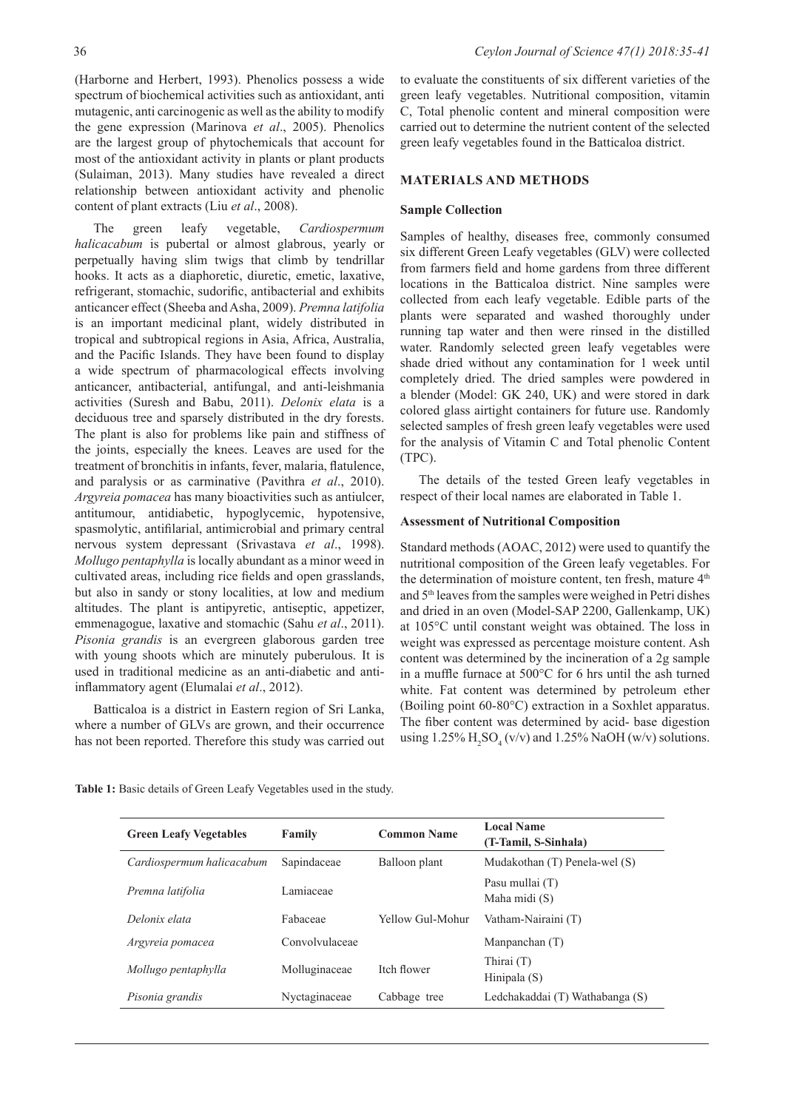(Harborne and Herbert, 1993). Phenolics possess a wide spectrum of biochemical activities such as antioxidant, anti mutagenic, anti carcinogenic as well as the ability to modify the gene expression (Marinova *et al*., 2005). Phenolics are the largest group of phytochemicals that account for most of the antioxidant activity in plants or plant products (Sulaiman, 2013). Many studies have revealed a direct relationship between antioxidant activity and phenolic content of plant extracts (Liu *et al*., 2008).

The green leafy vegetable, *Cardiospermum halicacabum* is pubertal or almost glabrous, yearly or perpetually having slim twigs that climb by tendrillar hooks. It acts as a diaphoretic, diuretic, emetic, laxative, refrigerant, stomachic, sudorific, antibacterial and exhibits anticancer effect (Sheeba and Asha, 2009). *Premna latifolia* is an important medicinal plant, widely distributed in tropical and subtropical regions in Asia, Africa, Australia, and the Pacific Islands. They have been found to display a wide spectrum of pharmacological effects involving anticancer, antibacterial, antifungal, and anti-leishmania activities (Suresh and Babu, 2011). *Delonix elata* is a deciduous tree and sparsely distributed in the dry forests. The plant is also for problems like pain and stiffness of the joints, especially the knees. Leaves are used for the treatment of bronchitis in infants, fever, malaria, flatulence, and paralysis or as carminative (Pavithra *et al*., 2010). *Argyreia pomacea* has many bioactivities such as antiulcer, antitumour, antidiabetic, hypoglycemic, hypotensive, spasmolytic, antifilarial, antimicrobial and primary central nervous system depressant (Srivastava *et al*., 1998). *Mollugo pentaphylla* is locally abundant as a minor weed in cultivated areas, including rice fields and open grasslands, but also in sandy or stony localities, at low and medium altitudes. The plant is antipyretic, antiseptic, appetizer, emmenagogue, laxative and stomachic (Sahu *et al*., 2011). *Pisonia grandis* is an evergreen glaborous garden tree with young shoots which are minutely puberulous. It is used in traditional medicine as an anti-diabetic and antiinflammatory agent (Elumalai *et al*., 2012).

Batticaloa is a district in Eastern region of Sri Lanka, where a number of GLVs are grown, and their occurrence has not been reported. Therefore this study was carried out to evaluate the constituents of six different varieties of the green leafy vegetables. Nutritional composition, vitamin C, Total phenolic content and mineral composition were carried out to determine the nutrient content of the selected green leafy vegetables found in the Batticaloa district.

### **MATERIALS AND METHODS**

#### **Sample Collection**

Samples of healthy, diseases free, commonly consumed six different Green Leafy vegetables (GLV) were collected from farmers field and home gardens from three different locations in the Batticaloa district. Nine samples were collected from each leafy vegetable. Edible parts of the plants were separated and washed thoroughly under running tap water and then were rinsed in the distilled water. Randomly selected green leafy vegetables were shade dried without any contamination for 1 week until completely dried. The dried samples were powdered in a blender (Model: GK 240, UK) and were stored in dark colored glass airtight containers for future use. Randomly selected samples of fresh green leafy vegetables were used for the analysis of Vitamin C and Total phenolic Content (TPC).

The details of the tested Green leafy vegetables in respect of their local names are elaborated in Table 1.

#### **Assessment of Nutritional Composition**

Standard methods (AOAC, 2012) were used to quantify the nutritional composition of the Green leafy vegetables. For the determination of moisture content, ten fresh, mature 4<sup>th</sup> and 5th leaves from the samples were weighed in Petri dishes and dried in an oven (Model-SAP 2200, Gallenkamp, UK) at 105°C until constant weight was obtained. The loss in weight was expressed as percentage moisture content. Ash content was determined by the incineration of a 2g sample in a muffle furnace at 500°C for 6 hrs until the ash turned white. Fat content was determined by petroleum ether (Boiling point 60-80°C) extraction in a Soxhlet apparatus. The fiber content was determined by acid- base digestion using  $1.25\%$  H<sub>2</sub>SO<sub>4</sub> (v/v) and  $1.25\%$  NaOH (w/v) solutions.

|  |  |  |  |  |  | Table 1: Basic details of Green Leafy Vegetables used in the study. |  |  |  |  |
|--|--|--|--|--|--|---------------------------------------------------------------------|--|--|--|--|
|--|--|--|--|--|--|---------------------------------------------------------------------|--|--|--|--|

| <b>Green Leafy Vegetables</b> | Family         | <b>Common Name</b> | <b>Local Name</b><br>(T-Tamil, S-Sinhala) |  |  |
|-------------------------------|----------------|--------------------|-------------------------------------------|--|--|
| Cardiospermum halicacabum     | Sapindaceae    | Balloon plant      | Mudakothan (T) Penela-wel (S)             |  |  |
| Premna latifolia              | Lamiaceae      |                    | Pasu mullai (T)<br>Maha midi (S)          |  |  |
| Delonix elata                 | Fabaceae       | Yellow Gul-Mohur   | Vatham-Nairaini (T)                       |  |  |
| Argyreia pomacea              | Convolvulaceae |                    | Manpanchan $(T)$                          |  |  |
| Mollugo pentaphylla           | Molluginaceae  | Itch flower        | Thirai $(T)$<br>Hinipala $(S)$            |  |  |
| Pisonia grandis               | Nyctaginaceae  | Cabbage tree       | Ledchakaddai (T) Wathabanga (S)           |  |  |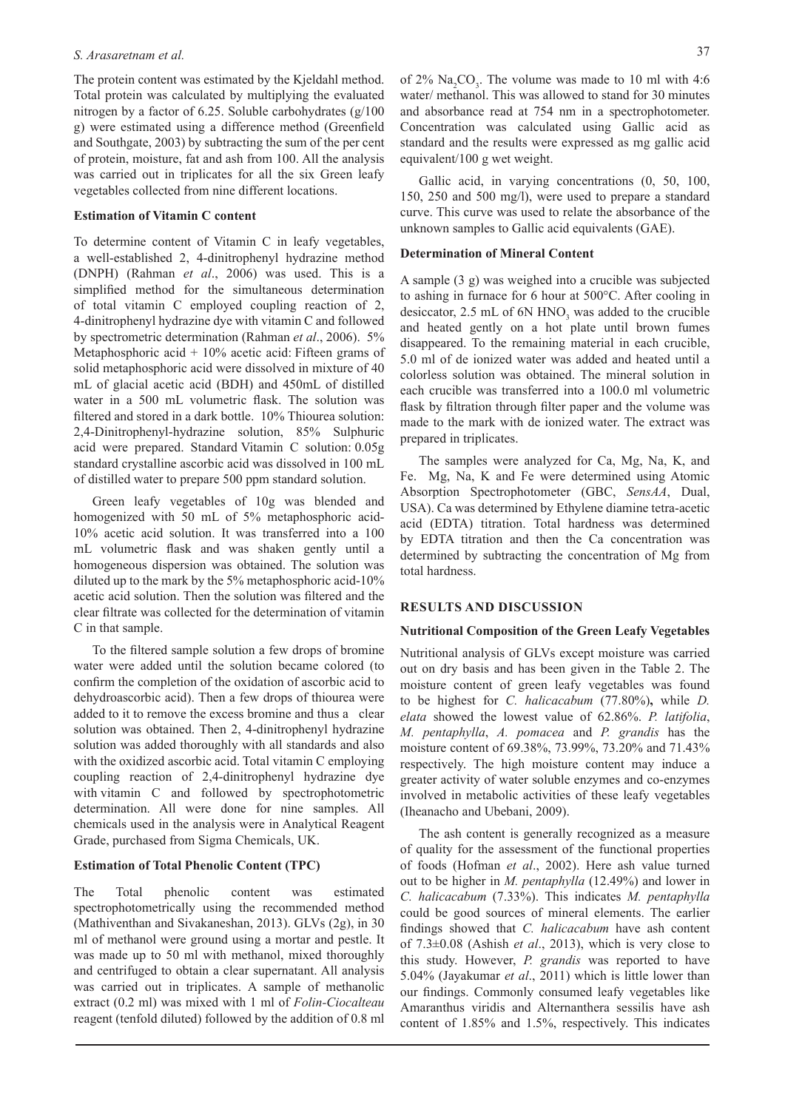The protein content was estimated by the Kjeldahl method. Total protein was calculated by multiplying the evaluated nitrogen by a factor of 6.25. Soluble carbohydrates (g/100 g) were estimated using a difference method (Greenfield and Southgate, 2003) by subtracting the sum of the per cent of protein, moisture, fat and ash from 100. All the analysis was carried out in triplicates for all the six Green leafy vegetables collected from nine different locations.

#### **Estimation of Vitamin C content**

To determine content of Vitamin C in leafy vegetables, a well-established 2, 4-dinitrophenyl hydrazine method (DNPH) (Rahman *et al*., 2006) was used. This is a simplified method for the simultaneous determination of total vitamin C employed coupling reaction of 2, 4-dinitrophenyl hydrazine dye with vitamin C and followed by spectrometric determination (Rahman *et al*., 2006). 5% Metaphosphoric acid  $+ 10\%$  acetic acid: Fifteen grams of solid metaphosphoric acid were dissolved in mixture of 40 mL of glacial acetic acid (BDH) and 450mL of distilled water in a 500 mL volumetric flask. The solution was filtered and stored in a dark bottle. 10% Thiourea solution: 2,4-Dinitrophenyl-hydrazine solution, 85% Sulphuric acid were prepared. Standard Vitamin C solution: 0.05g standard crystalline ascorbic acid was dissolved in 100 mL of distilled water to prepare 500 ppm standard solution.

Green leafy vegetables of 10g was blended and homogenized with 50 mL of 5% metaphosphoric acid-10% acetic acid solution. It was transferred into a 100 mL volumetric flask and was shaken gently until a homogeneous dispersion was obtained. The solution was diluted up to the mark by the 5% metaphosphoric acid-10% acetic acid solution. Then the solution was filtered and the clear filtrate was collected for the determination of vitamin C in that sample.

To the filtered sample solution a few drops of bromine water were added until the solution became colored (to confirm the completion of the oxidation of ascorbic acid to dehydroascorbic acid). Then a few drops of thiourea were added to it to remove the excess bromine and thus a clear solution was obtained. Then 2, 4-dinitrophenyl hydrazine solution was added thoroughly with all standards and also with the oxidized ascorbic acid. Total vitamin C employing coupling reaction of 2,4-dinitrophenyl hydrazine dye with vitamin C and followed by spectrophotometric determination. All were done for nine samples. All chemicals used in the analysis were in Analytical Reagent Grade, purchased from Sigma Chemicals, UK.

### **Estimation of Total Phenolic Content (TPC)**

The Total phenolic content was estimated spectrophotometrically using the recommended method (Mathiventhan and Sivakaneshan, 2013). GLVs (2g), in 30 ml of methanol were ground using a mortar and pestle. It was made up to 50 ml with methanol, mixed thoroughly and centrifuged to obtain a clear supernatant. All analysis was carried out in triplicates. A sample of methanolic extract (0.2 ml) was mixed with 1 ml of *Folin-Ciocalteau* reagent (tenfold diluted) followed by the addition of 0.8 ml

of  $2\%$  Na<sub>2</sub>CO<sub>3</sub>. The volume was made to 10 ml with 4:6 water/ methanol. This was allowed to stand for 30 minutes and absorbance read at 754 nm in a spectrophotometer. Concentration was calculated using Gallic acid as standard and the results were expressed as mg gallic acid equivalent/100 g wet weight.

Gallic acid, in varying concentrations  $(0, 50, 100, 100)$ 150, 250 and 500 mg/l), were used to prepare a standard curve. This curve was used to relate the absorbance of the unknown samples to Gallic acid equivalents (GAE).

#### **Determination of Mineral Content**

A sample (3 g) was weighed into a crucible was subjected to ashing in furnace for 6 hour at 500°C. After cooling in desiccator, 2.5 mL of  $6N HNO<sub>3</sub>$  was added to the crucible and heated gently on a hot plate until brown fumes disappeared. To the remaining material in each crucible, 5.0 ml of de ionized water was added and heated until a colorless solution was obtained. The mineral solution in each crucible was transferred into a 100.0 ml volumetric flask by filtration through filter paper and the volume was made to the mark with de ionized water. The extract was prepared in triplicates.

The samples were analyzed for Ca, Mg, Na, K, and Fe. Mg, Na, K and Fe were determined using Atomic Absorption Spectrophotometer (GBC, *SensAA*, Dual, USA). Ca was determined by Ethylene diamine tetra-acetic acid (EDTA) titration. Total hardness was determined by EDTA titration and then the Ca concentration was determined by subtracting the concentration of Mg from total hardness.

#### **RESULTS AND DISCUSSION**

#### **Nutritional Composition of the Green Leafy Vegetables**

Nutritional analysis of GLVs except moisture was carried out on dry basis and has been given in the Table 2. The moisture content of green leafy vegetables was found to be highest for *C. halicacabum* (77.80%)**,** while *D. elata* showed the lowest value of 62.86%. *P. latifolia*, *M. pentaphylla*, *A. pomacea* and *P. grandis* has the moisture content of 69.38%, 73.99%, 73.20% and 71.43% respectively. The high moisture content may induce a greater activity of water soluble enzymes and co-enzymes involved in metabolic activities of these leafy vegetables (Iheanacho and Ubebani, 2009).

The ash content is generally recognized as a measure of quality for the assessment of the functional properties of foods (Hofman *et al*., 2002). Here ash value turned out to be higher in *M. pentaphylla* (12.49%) and lower in *C. halicacabum* (7.33%). This indicates *M. pentaphylla* could be good sources of mineral elements. The earlier findings showed that *C. halicacabum* have ash content of 7.3±0.08 (Ashish *et al*., 2013), which is very close to this study. However, *P. grandis* was reported to have 5.04% (Jayakumar *et al*., 2011) which is little lower than our findings. Commonly consumed leafy vegetables like Amaranthus viridis and Alternanthera sessilis have ash content of 1.85% and 1.5%, respectively. This indicates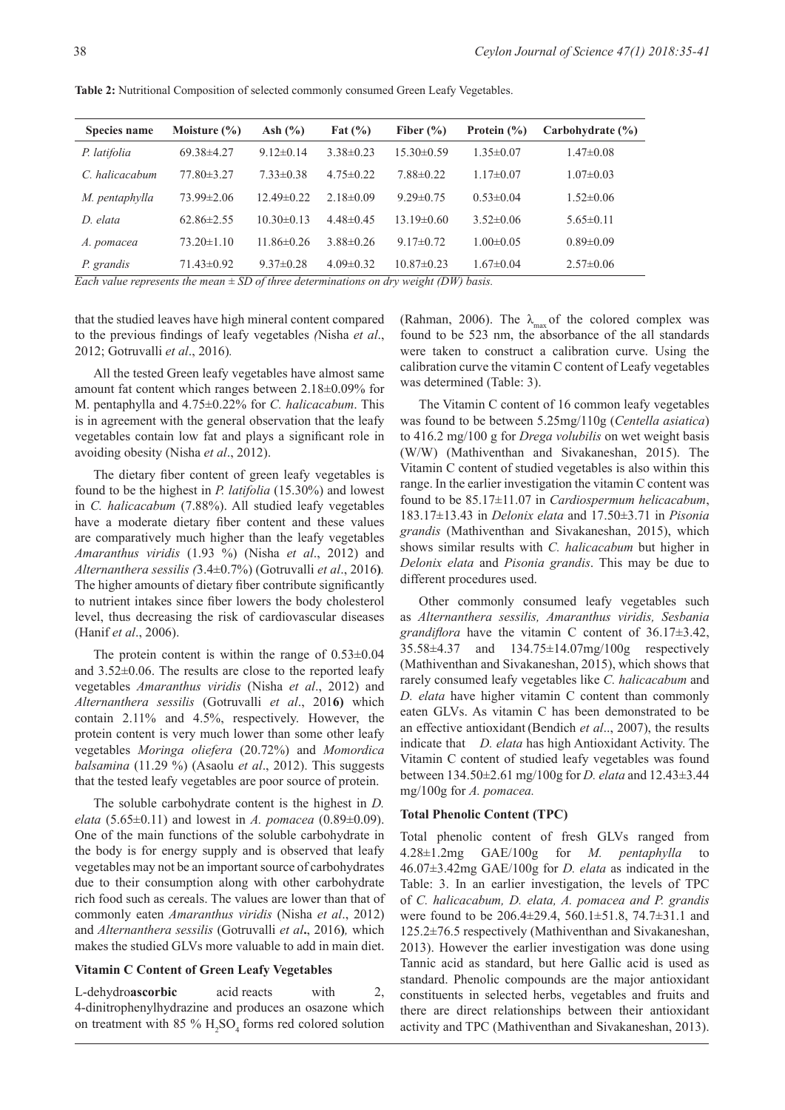**Table 2:** Nutritional Composition of selected commonly consumed Green Leafy Vegetables.

| <b>Species name</b> | Moisture $(\% )$ | Ash $(\% )$     | Fat $(\% )$     | Fiber $(\% )$   | Protein $(\% )$ | Carbohydrate (%) |
|---------------------|------------------|-----------------|-----------------|-----------------|-----------------|------------------|
| P. latifolia        | $69.38\pm4.27$   | $9.12\pm0.14$   | $3.38\pm0.23$   | $15.30\pm0.59$  | $1.35 \pm 0.07$ | $1.47 \pm 0.08$  |
| C. halicacabum      | $77.80\pm3.27$   | $7.33 \pm 0.38$ | $4.75 \pm 0.22$ | $7.88 \pm 0.22$ | $1.17 \pm 0.07$ | $1.07 \pm 0.03$  |
| M. pentaphylla      | $73.99 \pm 2.06$ | $12.49\pm0.22$  | $2.18\pm0.09$   | $9.29 \pm 0.75$ | $0.53 \pm 0.04$ | $1.52 \pm 0.06$  |
| D. elata            | $62.86 \pm 2.55$ | $10.30\pm0.13$  | $4.48\pm0.45$   | $13.19\pm0.60$  | $3.52 \pm 0.06$ | $5.65 \pm 0.11$  |
| A. pomacea          | $73.20 \pm 1.10$ | $11.86\pm0.26$  | $3.88\pm0.26$   | $9.17\pm0.72$   | $1.00 \pm 0.05$ | $0.89 \pm 0.09$  |
| P. grandis          | $71.43 \pm 0.92$ | $9.37\pm0.28$   | $4.09\pm0.32$   | $10.87\pm0.23$  | $1.67 \pm 0.04$ | $2.57 \pm 0.06$  |

*Each value represents the mean ± SD of three determinations on dry weight (DW) basis.*

that the studied leaves have high mineral content compared to the previous findings of leafy vegetables *(*Nisha *et al*., 2012; Gotruvalli *et al*., 2016)*.*

All the tested Green leafy vegetables have almost same amount fat content which ranges between 2.18±0.09% for M. pentaphylla and 4.75±0.22% for *C. halicacabum*. This is in agreement with the general observation that the leafy vegetables contain low fat and plays a significant role in avoiding obesity (Nisha *et al*., 2012).

The dietary fiber content of green leafy vegetables is found to be the highest in *P. latifolia* (15.30%) and lowest in *C. halicacabum* (7.88%). All studied leafy vegetables have a moderate dietary fiber content and these values are comparatively much higher than the leafy vegetables *Amaranthus viridis* (1.93 %) (Nisha *et al*., 2012) and *Alternanthera sessilis (*3.4±0.7%) (Gotruvalli *et al*., 2016**)***.*  The higher amounts of dietary fiber contribute significantly to nutrient intakes since fiber lowers the body cholesterol level, thus decreasing the risk of cardiovascular diseases (Hanif *et al*., 2006).

The protein content is within the range of  $0.53\pm0.04$ and 3.52±0.06. The results are close to the reported leafy vegetables *Amaranthus viridis* (Nisha *et al*., 2012) and *Alternanthera sessilis* (Gotruvalli *et al*., 201**6)** which contain 2.11% and 4.5%, respectively. However, the protein content is very much lower than some other leafy vegetables *Moringa oliefera* (20.72%) and *Momordica balsamina* (11.29 %) (Asaolu *et al*., 2012). This suggests that the tested leafy vegetables are poor source of protein.

The soluble carbohydrate content is the highest in *D. elata* (5.65±0.11) and lowest in *A. pomacea* (0.89±0.09). One of the main functions of the soluble carbohydrate in the body is for energy supply and is observed that leafy vegetables may not be an important source of carbohydrates due to their consumption along with other carbohydrate rich food such as cereals. The values are lower than that of commonly eaten *Amaranthus viridis* (Nisha *et al*., 2012) and *Alternanthera sessilis* (Gotruvalli *et al***.**, 2016**)***,* which makes the studied GLVs more valuable to add in main diet.

# **Vitamin C Content of Green Leafy Vegetables**

L-dehydro**ascorbic** acid reacts with 2, 4-dinitrophenylhydrazine and produces an osazone which on treatment with  $85\%$  H<sub>2</sub>SO<sub>4</sub> forms red colored solution (Rahman, 2006). The  $\lambda_{\text{max}}$  of the colored complex was found to be 523 nm, the absorbance of the all standards were taken to construct a calibration curve. Using the calibration curve the vitamin C content of Leafy vegetables was determined (Table: 3).

The Vitamin C content of 16 common leafy vegetables was found to be between 5.25mg/110g (*Centella asiatica*) to 416.2 mg/100 g for *Drega volubilis* on wet weight basis (W/W) (Mathiventhan and Sivakaneshan, 2015). The Vitamin C content of studied vegetables is also within this range. In the earlier investigation the vitamin C content was found to be 85.17±11.07 in *Cardiospermum helicacabum*, 183.17±13.43 in *Delonix elata* and 17.50±3.71 in *Pisonia grandis* (Mathiventhan and Sivakaneshan, 2015), which shows similar results with *C. halicacabum* but higher in *Delonix elata* and *Pisonia grandis*. This may be due to different procedures used.

Other commonly consumed leafy vegetables such as *Alternanthera sessilis, Amaranthus viridis, Sesbania grandiflora* have the vitamin C content of 36.17±3.42, 35.58±4.37 and 134.75±14.07mg/100g respectively (Mathiventhan and Sivakaneshan, 2015), which shows that rarely consumed leafy vegetables like *C. halicacabum* and *D. elata* have higher vitamin C content than commonly eaten GLVs. As vitamin C has been demonstrated to be an effective antioxidant (Bendich *et al*.., 2007), the results indicate that *D. elata* has high Antioxidant Activity. The Vitamin C content of studied leafy vegetables was found between 134.50±2.61 mg/100g for *D. elata* and 12.43±3.44 mg/100g for *A. pomacea.* 

#### **Total Phenolic Content (TPC)**

Total phenolic content of fresh GLVs ranged from 4.28±1.2mg GAE/100g for *M. pentaphylla* to 46.07±3.42mg GAE/100g for *D. elata* as indicated in the Table: 3. In an earlier investigation, the levels of TPC of *C. halicacabum, D. elata, A. pomacea and P. grandis*  were found to be 206.4±29.4, 560.1±51.8, 74.7±31.1 and 125.2±76.5 respectively (Mathiventhan and Sivakaneshan, 2013). However the earlier investigation was done using Tannic acid as standard, but here Gallic acid is used as standard. Phenolic compounds are the major antioxidant constituents in selected herbs, vegetables and fruits and there are direct relationships between their antioxidant activity and TPC (Mathiventhan and Sivakaneshan, 2013).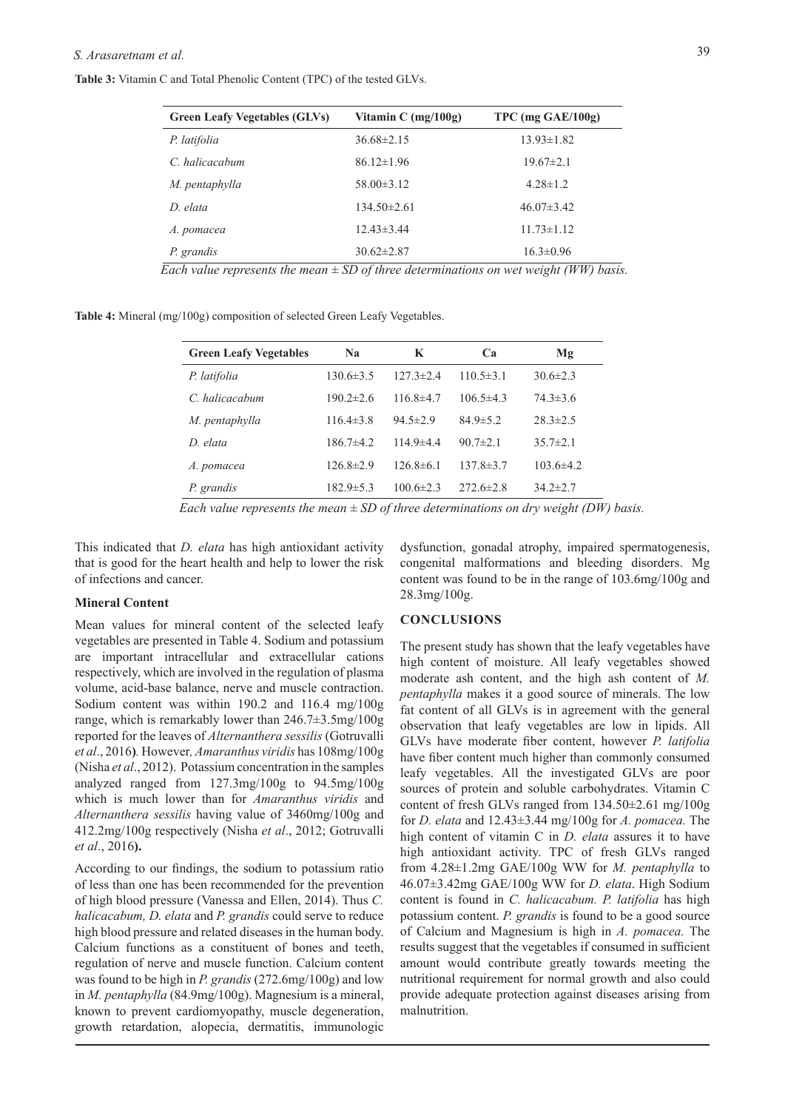**Table 3:** Vitamin C and Total Phenolic Content (TPC) of the tested GLVs.

| Vitamin C $(mg/100g)$ | $TPC$ (mg $GAE/100g$ ) |
|-----------------------|------------------------|
| $36.68 \pm 2.15$      | $13.93 \pm 1.82$       |
| $86.12 \pm 1.96$      | $19.67 \pm 2.1$        |
| $58.00 \pm 3.12$      | $4.28 \pm 1.2$         |
| $134.50 \pm 2.61$     | $46.07\pm3.42$         |
| $12.43 \pm 3.44$      | $11.73 \pm 1.12$       |
| $30.62 \pm 2.87$      | $16.3 \pm 0.96$        |
|                       |                        |

**Table 4:** Mineral (mg/100g) composition of selected Green Leafy Vegetables.

| <b>Green Leafy Vegetables</b> | N <sub>2</sub>  | K               | Ca              | Mg              |  |
|-------------------------------|-----------------|-----------------|-----------------|-----------------|--|
| P. latifolia                  | $130.6\pm3.5$   | $127.3 \pm 2.4$ | $110.5 \pm 3.1$ | $30.6 \pm 2.3$  |  |
| C. halicacabum                | $190.2 \pm 2.6$ | $116.8\pm4.7$   | $106.5 \pm 4.3$ | $74.3 \pm 3.6$  |  |
| M. pentaphylla                | $116.4\pm3.8$   | $94.5 \pm 2.9$  | $84.9 \pm 5.2$  | $28.3 \pm 2.5$  |  |
| D elata                       | $186.7\pm4.2$   | $114.9 + 4.4$   | $90.7 \pm 2.1$  | $35.7 \pm 2.1$  |  |
| A. pomacea                    | $126.8 \pm 2.9$ | $126.8\pm 6.1$  | $137.8 \pm 3.7$ | $103.6 \pm 4.2$ |  |
| P. grandis                    | $182.9 \pm 5.3$ | $100.6 \pm 2.3$ | $272.6 \pm 2.8$ | $34.2 \pm 2.7$  |  |

*Each value represents the mean ± SD of three determinations on dry weight (DW) basis.*

This indicated that *D. elata* has high antioxidant activity that is good for the heart health and help to lower the risk of infections and cancer.

### **Mineral Content**

Mean values for mineral content of the selected leafy vegetables are presented in Table 4. Sodium and potassium are important intracellular and extracellular cations respectively, which are involved in the regulation of plasma volume, acid-base balance, nerve and muscle contraction. Sodium content was within 190.2 and 116.4 mg/100g range, which is remarkably lower than 246.7±3.5mg/100g reported for the leaves of *Alternanthera sessilis* (Gotruvalli *et al*., 2016**)***.* However*, Amaranthus viridis* has 108mg/100g (Nisha *et al*., 2012). Potassium concentration in the samples analyzed ranged from 127.3mg/100g to 94.5mg/100g which is much lower than for *Amaranthus viridis* and *Alternanthera sessilis* having value of 3460mg/100g and 412.2mg/100g respectively (Nisha *et al*., 2012; Gotruvalli *et al*., 2016**).**

According to our findings, the sodium to potassium ratio of less than one has been recommended for the prevention of high blood pressure (Vanessa and Ellen, 2014). Thus *C. halicacabum, D. elata* and *P. grandis* could serve to reduce high blood pressure and related diseases in the human body. Calcium functions as a constituent of bones and teeth, regulation of nerve and muscle function. Calcium content was found to be high in *P. grandis* (272.6mg/100g) and low in *M. pentaphylla* (84.9mg/100g). Magnesium is a mineral, known to prevent cardiomyopathy, muscle degeneration, growth retardation, alopecia, dermatitis, immunologic

dysfunction, gonadal atrophy, impaired spermatogenesis, congenital malformations and bleeding disorders. Mg content was found to be in the range of 103.6mg/100g and 28.3mg/100g.

#### **CONCLUSIONS**

The present study has shown that the leafy vegetables have high content of moisture. All leafy vegetables showed moderate ash content, and the high ash content of *M. pentaphylla* makes it a good source of minerals. The low fat content of all GLVs is in agreement with the general observation that leafy vegetables are low in lipids. All GLVs have moderate fiber content, however *P. latifolia* have fiber content much higher than commonly consumed leafy vegetables. All the investigated GLVs are poor sources of protein and soluble carbohydrates. Vitamin C content of fresh GLVs ranged from 134.50±2.61 mg/100g for *D. elata* and 12.43±3.44 mg/100g for *A. pomacea.* The high content of vitamin C in *D. elata* assures it to have high antioxidant activity. TPC of fresh GLVs ranged from 4.28±1.2mg GAE/100g WW for *M. pentaphylla* to 46.07±3.42mg GAE/100g WW for *D. elata*. High Sodium content is found in *C. halicacabum. P. latifolia* has high potassium content. *P. grandis* is found to be a good source of Calcium and Magnesium is high in *A. pomacea.* The results suggest that the vegetables if consumed in sufficient amount would contribute greatly towards meeting the nutritional requirement for normal growth and also could provide adequate protection against diseases arising from malnutrition.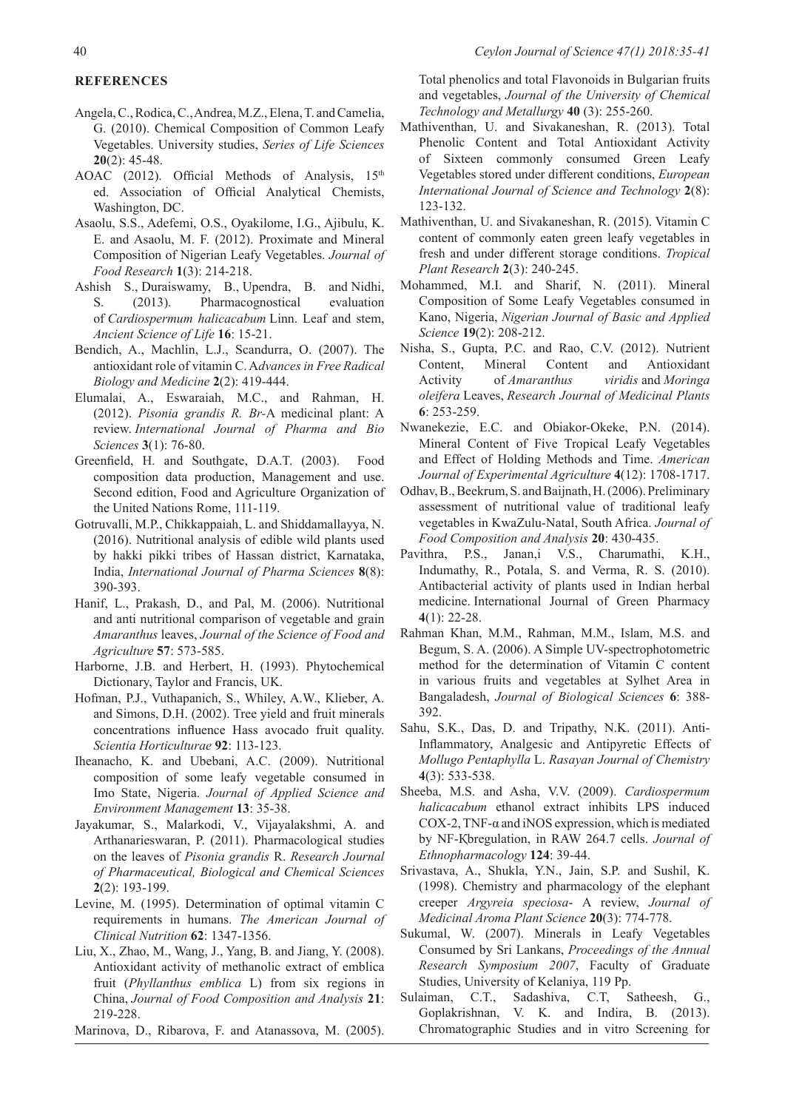# **REFERENCES**

- Angela, C., Rodica, C., Andrea, M.Z., Elena, T. and Camelia, G. (2010). Chemical Composition of Common Leafy Vegetables. University studies, *Series of Life Sciences* **20**(2): 45-48.
- AOAC (2012). Official Methods of Analysis,  $15<sup>th</sup>$ ed. Association of Official Analytical Chemists, Washington, DC.
- Asaolu, S.S., Adefemi, O.S., Oyakilome, I.G., Ajibulu, K. E. and Asaolu, M. F. (2012). Proximate and Mineral Composition of Nigerian Leafy Vegetables. *Journal of Food Research* **1**(3): 214-218.
- Ashish S., Duraiswamy, B., Upendra, B. and Nidhi, S. (2013). Pharmacognostical evaluation of *Cardiospermum halicacabum* Linn. Leaf and stem, *Ancient Science of Life* **16**: 15-21.
- Bendich, A., Machlin, L.J., Scandurra, O. (2007). The antioxidant role of vitamin C. A*dvances in Free Radical Biology and Medicine* **2**(2): 419-444.
- Elumalai, A., Eswaraiah, M.C., and Rahman, H. (2012). *Pisonia grandis R. Br-*A medicinal plant: A review. *International Journal of Pharma and Bio Sciences* **3**(1): 76-80.
- Greenfield, H. and Southgate, D.A.T. (2003). Food composition data production, Management and use. Second edition, Food and Agriculture Organization of the United Nations Rome, 111-119.
- Gotruvalli, M.P., Chikkappaiah, L. and Shiddamallayya, N. (2016). Nutritional analysis of edible wild plants used by hakki pikki tribes of Hassan district, Karnataka, India, *International Journal of Pharma Sciences* **8**(8): 390-393.
- Hanif, L., Prakash, D., and Pal, M. (2006). Nutritional and anti nutritional comparison of vegetable and grain *Amaranthus* leaves, *Journal of the Science of Food and Agriculture* **57**: 573-585.
- Harborne, J.B. and Herbert, H. (1993). Phytochemical Dictionary, Taylor and Francis, UK.
- Hofman, P.J., Vuthapanich, S., Whiley, A.W., Klieber, A. and Simons, D.H. (2002). Tree yield and fruit minerals concentrations influence Hass avocado fruit quality. *Scientia Horticulturae* **92**: 113-123.
- Iheanacho, K. and Ubebani, A.C. (2009). Nutritional composition of some leafy vegetable consumed in Imo State, Nigeria. *Journal of Applied Science and Environment Management* **13**: 35-38.
- Jayakumar, S., Malarkodi, V., Vijayalakshmi, A. and Arthanarieswaran, P. (2011). Pharmacological studies on the leaves of *Pisonia grandis* R. *Research Journal of Pharmaceutical, Biological and Chemical Sciences* **2**(2): 193-199.
- Levine, M. (1995). Determination of optimal vitamin C requirements in humans. *The American Journal of Clinical Nutrition* **62**: 1347-1356.
- Liu, X., Zhao, M., Wang, J., Yang, B. and Jiang, Y. (2008). Antioxidant activity of methanolic extract of emblica fruit (*Phyllanthus emblica* L) from six regions in China, *Journal of Food Composition and Analysis* **21**: 219-228.
- Marinova, D., Ribarova, F. and Atanassova, M. (2005).

Total phenolics and total Flavonoids in Bulgarian fruits and vegetables, *Journal of the University of Chemical Technology and Metallurgy* **40** (3): 255-260.

- Mathiventhan, U. and Sivakaneshan, R. (2013). Total Phenolic Content and Total Antioxidant Activity of Sixteen commonly consumed Green Leafy Vegetables stored under different conditions, *European International Journal of Science and Technology* **2**(8): 123-132.
- Mathiventhan, U. and Sivakaneshan, R. (2015). Vitamin C content of commonly eaten green leafy vegetables in fresh and under different storage conditions. *Tropical Plant Research* **2**(3): 240-245.
- Mohammed, M.I. and Sharif, N. (2011). Mineral Composition of Some Leafy Vegetables consumed in Kano, Nigeria, *Nigerian Journal of Basic and Applied Science* **19**(2): 208-212.
- Nisha, S., Gupta, P.C. and Rao, C.V. (2012). Nutrient Content, Mineral Content and Antioxidant Activity of *Amaranthus viridis* and *Moringa oleifera* Leaves, *Research Journal of Medicinal Plants*  **6**: 253-259.
- Nwanekezie, E.C. and Obiakor-Okeke, P.N. (2014). Mineral Content of Five Tropical Leafy Vegetables and Effect of Holding Methods and Time. *American Journal of Experimental Agriculture* **4**(12): 1708-1717.
- Odhav, B., Beekrum, S. and Baijnath, H. (2006). Preliminary assessment of nutritional value of traditional leafy vegetables in KwaZulu-Natal, South Africa. *Journal of Food Composition and Analysis* **20**: 430-435.
- Pavithra, P.S., Janan,i V.S., Charumathi, K.H., Indumathy, R., Potala, S. and Verma, R. S. (2010). Antibacterial activity of plants used in Indian herbal medicine. International Journal of Green Pharmacy **4**(1): 22-28.
- Rahman Khan, M.M., Rahman, M.M., Islam, M.S. and Begum, S. A. (2006). A Simple UV-spectrophotometric method for the determination of Vitamin C content in various fruits and vegetables at Sylhet Area in Bangaladesh, *Journal of Biological Sciences* **6**: 388- 392.
- Sahu, S.K., Das, D. and Tripathy, N.K. (2011). Anti-Inflammatory, Analgesic and Antipyretic Effects of *Mollugo Pentaphylla* L. *Rasayan Journal of Chemistry* **4**(3): 533-538.
- Sheeba, M.S. and Asha, V.V. (2009). *Cardiospermum halicacabum* ethanol extract inhibits LPS induced COX-2, TNF- $\alpha$  and iNOS expression, which is mediated by NF-Қbregulation, in RAW 264.7 cells. *Journal of Ethnopharmacology* **124**: 39-44.
- Srivastava, A., Shukla, Y.N., Jain, S.P. and Sushil, K. (1998). Chemistry and pharmacology of the elephant creeper *Argyreia speciosa*- A review, *Journal of Medicinal Aroma Plant Science* **20**(3): 774-778.
- Sukumal, W. (2007). Minerals in Leafy Vegetables Consumed by Sri Lankans, *Proceedings of the Annual Research Symposium 2007*, Faculty of Graduate Studies, University of Kelaniya, 119 Pp.
- Sulaiman, C.T., Sadashiva, C.T, Satheesh, G., Goplakrishnan, V. K. and Indira, B. (2013). Chromatographic Studies and in vitro Screening for